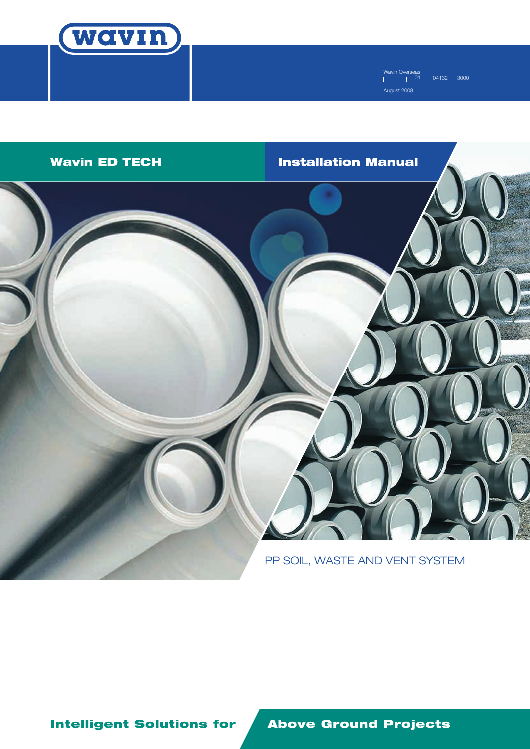

Wavin Overseas 01 04132 3000 August 2008



Intelligent Solutions for Above Ground Projects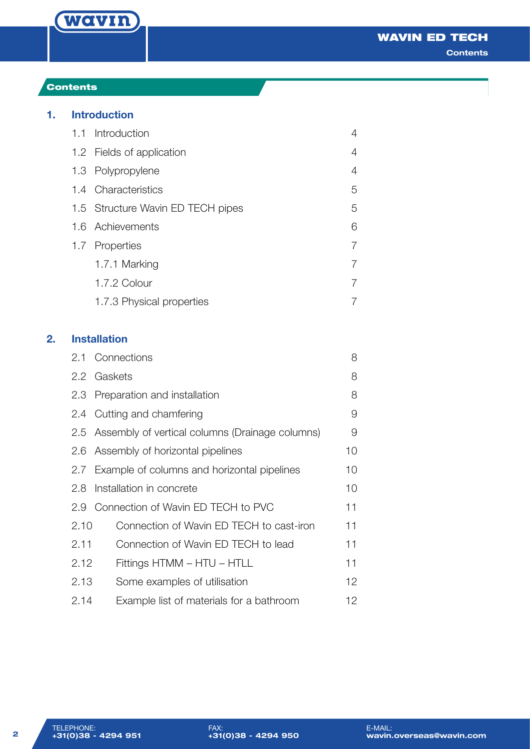

# Contents

# **1. Introduction**

|  | 1.1 Introduction                  | 4 |
|--|-----------------------------------|---|
|  | 1.2 Fields of application         | 4 |
|  | 1.3 Polypropylene                 | 4 |
|  | 1.4 Characteristics               | 5 |
|  | 1.5 Structure Wavin ED TECH pipes | 5 |
|  | 1.6 Achievements                  | 6 |
|  | 1.7 Properties                    |   |
|  | 1.7.1 Marking                     |   |
|  | 1.7.2 Colour                      |   |
|  | 1.7.3 Physical properties         |   |
|  |                                   |   |

# **2. Installation**

|      | 2.1 Connections                                     | 8               |
|------|-----------------------------------------------------|-----------------|
|      | 2.2 Gaskets                                         | 8               |
|      | 2.3 Preparation and installation                    | 8               |
|      | 2.4 Cutting and chamfering                          | 9               |
|      | 2.5 Assembly of vertical columns (Drainage columns) | 9               |
| 2.6  | Assembly of horizontal pipelines                    | 10              |
|      | 2.7 Example of columns and horizontal pipelines     | 10              |
| 2.8  | Installation in concrete                            | 10              |
|      | 2.9 Connection of Wavin ED TECH to PVC              | 11              |
| 2.10 | Connection of Wavin ED TECH to cast-iron            | 11              |
| 2.11 | Connection of Wavin ED TECH to lead                 | 11              |
| 2.12 | Fittings HTMM - HTU - HTLL                          | 11              |
| 2.13 | Some examples of utilisation                        | 12              |
| 2.14 | Example list of materials for a bathroom            | 12 <sup>2</sup> |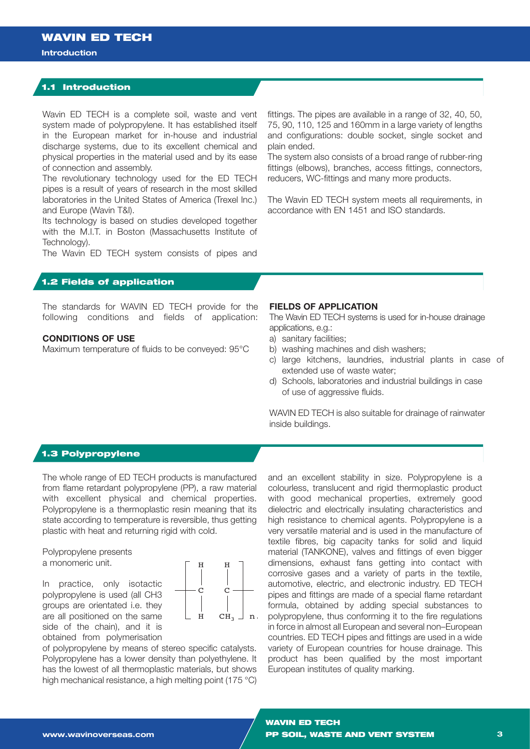### **Introduction**

## 1.1 Introduction

Wavin ED TECH is a complete soil, waste and vent system made of polypropylene. It has established itself in the European market for in-house and industrial discharge systems, due to its excellent chemical and physical properties in the material used and by its ease of connection and assembly.

The revolutionary technology used for the ED TECH pipes is a result of years of research in the most skilled laboratories in the United States of America (Trexel Inc.) and Europe (Wavin T&I).

Its technology is based on studies developed together with the M.I.T. in Boston (Massachusetts Institute of Technology).

The Wavin ED TECH system consists of pipes and

## 1.2 Fields of application

The standards for WAVIN ED TECH provide for the following conditions and fields of application:

## **CONDITIONS OF USE**

Maximum temperature of fluids to be conveyed: 95°C

### **FIELDS OF APPLICATION**

The Wavin ED TECH systems is used for in-house drainage applications, e.g.:

fittings. The pipes are available in a range of 32, 40, 50, 75, 90, 110, 125 and 160mm in a large variety of lengths and configurations: double socket, single socket and

The system also consists of a broad range of rubber-ring fittings (elbows), branches, access fittings, connectors,

The Wavin ED TECH system meets all requirements, in

reducers, WC-fittings and many more products.

accordance with EN 1451 and ISO standards.

a) sanitary facilities;

plain ended.

- b) washing machines and dish washers;
- c) large kitchens, laundries, industrial plants in case of extended use of waste water;
- d) Schools, laboratories and industrial buildings in case of use of aggressive fluids.

WAVIN ED TECH is also suitable for drainage of rainwater inside buildings.

## 1.3 Polypropylene

The whole range of ED TECH products is manufactured from flame retardant polypropylene (PP), a raw material with excellent physical and chemical properties. Polypropylene is a thermoplastic resin meaning that its state according to temperature is reversible, thus getting plastic with heat and returning rigid with cold.

Polypropylene presents a monomeric unit.

In practice, only isotactic polypropylene is used (all CH3 groups are orientated i.e. they are all positioned on the same side of the chain), and it is obtained from polymerisation



of polypropylene by means of stereo specific catalysts. Polypropylene has a lower density than polyethylene. It has the lowest of all thermoplastic materials, but shows high mechanical resistance, a high melting point (175 °C) and an excellent stability in size. Polypropylene is a colourless, translucent and rigid thermoplastic product with good mechanical properties, extremely good dielectric and electrically insulating characteristics and high resistance to chemical agents. Polypropylene is a very versatile material and is used in the manufacture of textile fibres, big capacity tanks for solid and liquid material (TANKONE), valves and fittings of even bigger dimensions, exhaust fans getting into contact with corrosive gases and a variety of parts in the textile, automotive, electric, and electronic industry. ED TECH pipes and fittings are made of a special flame retardant formula, obtained by adding special substances to polypropylene, thus conforming it to the fire regulations in force in almost all European and several non–European countries. ED TECH pipes and fittings are used in a wide variety of European countries for house drainage. This product has been qualified by the most important European institutes of quality marking.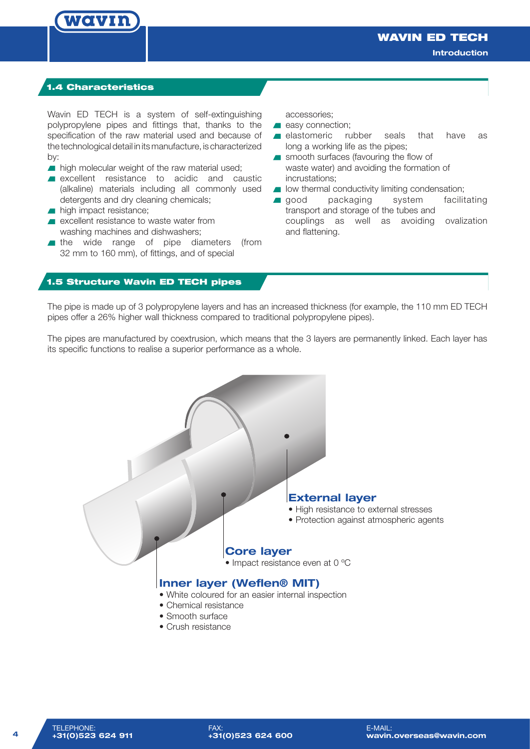## 1.4 Characteristics

WCIVIN

Wavin ED TECH is a system of self-extinguishing polypropylene pipes and fittings that, thanks to the specification of the raw material used and because of the technological detail in its manufacture, is characterized by:

- high molecular weight of the raw material used;
- **Excellent** resistance to acidic and caustic (alkaline) materials including all commonly used detergents and dry cleaning chemicals;
- high impact resistance;
- **EXCELLENT FEATURE CONSIDER A** excellent resistance to waste water from washing machines and dishwashers;
- the wide range of pipe diameters (from 32 mm to 160 mm), of fittings, and of special

accessories;

- easy connection;
- elastomeric rubber seals that have as long a working life as the pipes;
- smooth surfaces (favouring the flow of waste water) and avoiding the formation of incrustations;
- **I** low thermal conductivity limiting condensation;
- good packaging system facilitating transport and storage of the tubes and couplings as well as avoiding ovalization and flattening.

### 1.5 Structure Wavin ED TECH pipes

The pipe is made up of 3 polypropylene layers and has an increased thickness (for example, the 110 mm ED TECH pipes offer a 26% higher wall thickness compared to traditional polypropylene pipes).

The pipes are manufactured by coextrusion, which means that the 3 layers are permanently linked. Each layer has its specific functions to realise a superior performance as a whole.

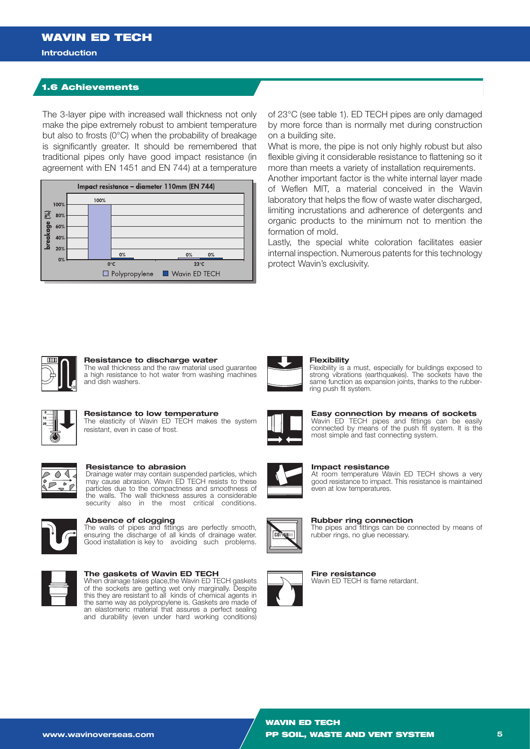#### **Introduction**

## 1.6 Achievements

The 3-layer pipe with increased wall thickness not only make the pipe extremely robust to ambient temperature but also to frosts (0°C) when the probability of breakage is significantly greater. It should be remembered that traditional pipes only have good impact resistance (in agreement with EN 1451 and EN 744) at a temperature



of 23°C (see table 1). ED TECH pipes are only damaged by more force than is normally met during construction on a building site.

What is more, the pipe is not only highly robust but also flexible giving it considerable resistance to flattening so it more than meets a variety of installation requirements.

Another important factor is the white internal layer made of Weflen MIT, a material conceived in the Wavin laboratory that helps the flow of waste water discharged, limiting incrustations and adherence of detergents and organic products to the minimum not to mention the formation of mold.

Lastly, the special white coloration facilitates easier internal inspection. Numerous patents for this technology protect Wavin's exclusivity.



#### **Resistance to discharge water**

The wall thickness and the raw material used guarantee a high resistance to hot water from washing machines and dish washers.



#### **Resistance to low temperature**

The elasticity of Wavin ED TECH makes the system resistant, even in case of frost.



#### **Resistance to abrasion**

Drainage water may contain suspended particles, which may cause abrasion. Wavin ED TECH resists to these particles due to the compactness and smoothness of the walls. The wall thickness assures a considerable security also in the most critical conditions.



## **Absence of clogging**

The walls of pipes and fittings are perfectly smooth, ensuring the discharge of all kinds of drainage water. Good installation is key to avoiding such problems.



#### **The gaskets of Wavin ED TECH**

When drainage takes place,the Wavin ED TECH gaskets of the sockets are getting wet only marginally. Despite this they are resistant to all kinds of chemical agents in the same way as polypropylene is. Gaskets are made of an elastomeric material that assures a perfect sealing and durability (even under hard working conditions)



## **Flexibility**

Flexibility is a must, especially for buildings exposed to strong vibrations (earthquakes). The sockets have the same function as expansion joints, thanks to the rubberring push fit system.



**Easy connection by means of sockets** Wavin ED TECH pipes and fittings can be easily connected by means of the push fit system. It is the most simple and fast connecting system.



**Impact resistance** At room temperature Wavin ED TECH shows a very good resistance to impact. This resistance is maintained even at low temperatures.



**Rubber ring connection**

The pipes and fittings can be connected by means of rubber rings, no glue necessary.



**Fire resistance** Wavin ED TECH is flame retardant.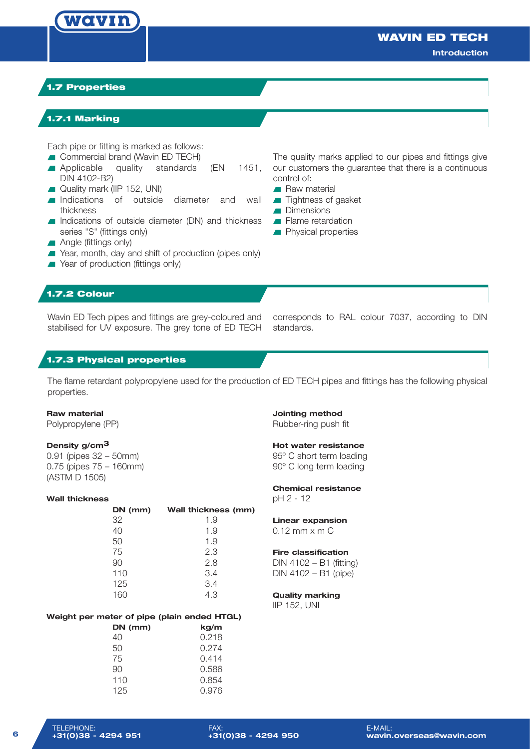## WAVIN ED TECH

**Introduction**

## 1.7 Properties

WCLVIN

## 1.7.1 Marking

Each pipe or fitting is marked as follows:

- **Commercial brand (Wavin ED TECH)**
- Applicable quality standards (EN 1451, DIN 4102-B2)
- Quality mark (IIP 152, UNI)
- Indications of outside diameter and wall thickness
- Indications of outside diameter (DN) and thickness series "S" (fittings only)
- **Angle (fittings only)**
- Year, month, day and shift of production (pipes only)
- **No. 25 Year of production (fittings only)**

The quality marks applied to our pipes and fittings give our customers the guarantee that there is a continuous control of: **Raw material** 

- **Tightness of gasket**
- Dimensions
- Flame retardation
- **Physical properties**

## 1.7.2 Colour

Wavin ED Tech pipes and fittings are grey-coloured and stabilised for UV exposure. The grey tone of ED TECH

corresponds to RAL colour 7037, according to DIN standards.

### 1.7.3 Physical properties

The flame retardant polypropylene used for the production of ED TECH pipes and fittings has the following physical properties.

### **Raw material**

Polypropylene (PP)

### **Density g/cm3**

0.91 (pipes 32 – 50mm) 0.75 (pipes 75 – 160mm) (ASTM D 1505)

#### **Wall thickness**

|     | DN (mm)<br>Wall thickness (mm) |
|-----|--------------------------------|
| 32  | 1.9                            |
| 40  | 1.9                            |
| 50  | 1.9                            |
| 75  | 2.3                            |
| 90  | 2.8                            |
| 110 | 3.4                            |
| 125 | 3.4                            |
|     | 4.3                            |

### **Weight per meter of pipe (plain ended HTGL)**

| DN (mm) | kg/m  |
|---------|-------|
| 40      | 0.218 |
| 50      | 0.274 |
| 75      | 0.414 |
| 90      | 0.586 |
| 110     | 0.854 |
| 125     | 0.976 |

**Jointing method** Rubber-ring push fit

### **Hot water resistance**

95º C short term loading 90º C long term loading

## **Chemical resistance**

pH 2 - 12

## **Linear expansion**

0.12 mm x m C

#### **Fire classification**

DIN 4102 – B1 (fitting) DIN 4102 – B1 (pipe)

### **Quality marking**

IIP 152, UNI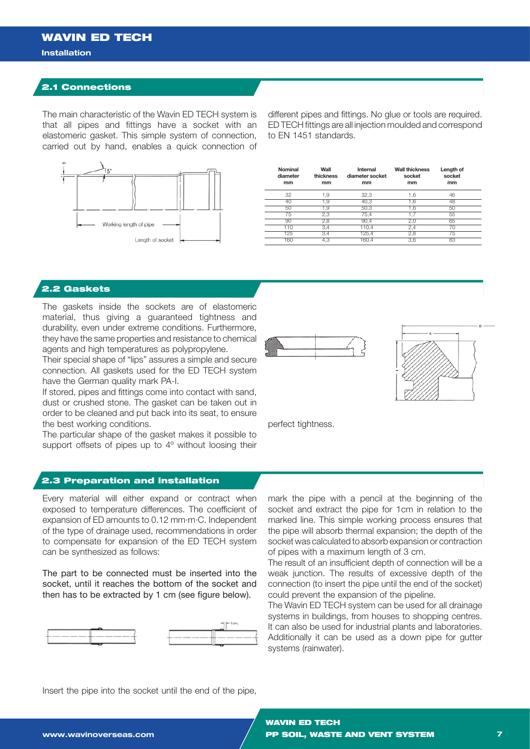## **Installation**

## 2.1 Connections

The main characteristic of the Wavin ED TECH system is that all pipes and fittings have a socket with an elastomeric gasket. This simple system of connection, carried out by hand, enables a quick connection of



different pipes and fittings. No glue or tools are required. ED TECH fittings are all injection moulded and correspond to EN 1451 standards.

| Nominal<br>diameter<br>mm | Wall<br>thickness<br>mm | Internal<br>diameter socket<br>mm | <b>Wall thickness</b><br>socket<br>mm | Length of<br>socket<br>mm |  |
|---------------------------|-------------------------|-----------------------------------|---------------------------------------|---------------------------|--|
| 32                        | 1.9                     | 32,3                              | 1,6                                   | 46                        |  |
| 40                        | 1.9                     | 40,3                              | 1,6                                   | 48                        |  |
| 50                        | 1.9                     | 50,3                              | 1,6                                   | 50                        |  |
| 75                        | 2,3                     | 75.4                              | 1.7                                   | 55                        |  |
| 90                        | 2,8                     | 90.4                              | 2,0                                   | 65                        |  |
| 110                       | 3.4                     | 110,4                             | 2,4                                   | 70                        |  |
| 125                       | 3.4                     | 125,4                             | 2,8                                   | 75                        |  |
| 160                       | 4,3                     | 160,4                             | 3,6                                   | 83                        |  |
|                           |                         |                                   |                                       |                           |  |

## 2.2 Gaskets

The gaskets inside the sockets are of elastomeric material, thus giving a guaranteed tightness and durability, even under extreme conditions. Furthermore, they have the same properties and resistance to chemical agents and high temperatures as polypropylene.

Their special shape of "lips" assures a simple and secure connection. All gaskets used for the ED TECH system have the German quality mark PA-I.

If stored, pipes and fittings come into contact with sand, dust or crushed stone. The gasket can be taken out in order to be cleaned and put back into its seat, to ensure the best working conditions.

The particular shape of the gasket makes it possible to support offsets of pipes up to 4° without loosing their





perfect tightness.

## 2.3 Preparation and installation

Every material will either expand or contract when exposed to temperature differences. The coefficient of expansion of ED amounts to 0.12 mm·m·C. Independent of the type of drainage used, recommendations in order to compensate for expansion of the ED TECH system can be synthesized as follows:

The part to be connected must be inserted into the socket, until it reaches the bottom of the socket and then has to be extracted by 1 cm (see figure below).



mark the pipe with a pencil at the beginning of the socket and extract the pipe for 1cm in relation to the marked line. This simple working process ensures that the pipe will absorb thermal expansion; the depth of the socket was calculated to absorb expansion or contraction of pipes with a maximum length of 3 cm.

The result of an insufficient depth of connection will be a weak junction. The results of excessive depth of the connection (to insert the pipe until the end of the socket) could prevent the expansion of the pipeline.

The Wavin ED TECH system can be used for all drainage systems in buildings, from houses to shopping centres. It can also be used for industrial plants and laboratories. Additionally it can be used as a down pipe for gutter systems (rainwater).

Insert the pipe into the socket until the end of the pipe,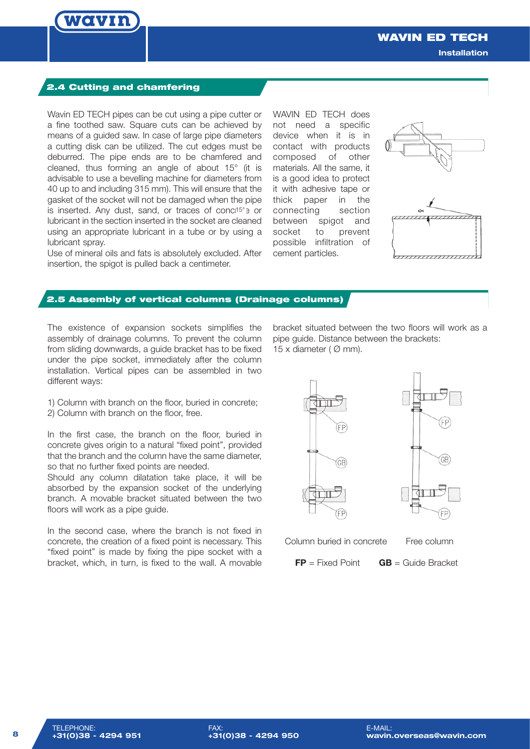

WAVIN ED TECH **Installation**

## 2.4 Cutting and chamfering

Wavin ED TECH pipes can be cut using a pipe cutter or a fine toothed saw. Square cuts can be achieved by means of a guided saw. In case of large pipe diameters a cutting disk can be utilized. The cut edges must be deburred. The pipe ends are to be chamfered and cleaned, thus forming an angle of about 15° (it is advisable to use a bevelling machine for diameters from 40 up to and including 315 mm). This will ensure that the gasket of the socket will not be damaged when the pipe is inserted. Any dust, sand, or traces of conc<sup>15°</sup> e or lubricant in the section inserted in the socket are cleaned using an appropriate lubricant in a tube or by using a lubricant spray.

Use of mineral oils and fats is absolutely excluded. After insertion, the spigot is pulled back a centimeter.

WAVIN ED TECH does not need a specific device when it is in contact with products composed of other materials. All the same, it is a good idea to protect it with adhesive tape or thick paper in the connecting section between spigot and socket to prevent possible infiltration of cement particles.





## 2.5 Assembly of vertical columns (Drainage columns)

The existence of expansion sockets simplifies the assembly of drainage columns. To prevent the column from sliding downwards, a guide bracket has to be fixed under the pipe socket, immediately after the column installation. Vertical pipes can be assembled in two different ways:

1) Column with branch on the floor, buried in concrete; 2) Column with branch on the floor, free.

In the first case, the branch on the floor, buried in concrete gives origin to a natural "fixed point", provided that the branch and the column have the same diameter, so that no further fixed points are needed.

Should any column dilatation take place, it will be absorbed by the expansion socket of the underlying branch. A movable bracket situated between the two floors will work as a pipe quide.

In the second case, where the branch is not fixed in concrete, the creation of a fixed point is necessary. This "fixed point" is made by fixing the pipe socket with a bracket, which, in turn, is fixed to the wall. A movable bracket situated between the two floors will work as a pipe guide. Distance between the brackets: 15 x diameter ( $\varnothing$  mm).



Column buried in concrete Free column

**FP** = Fixed Point **GB** = Guide Bracket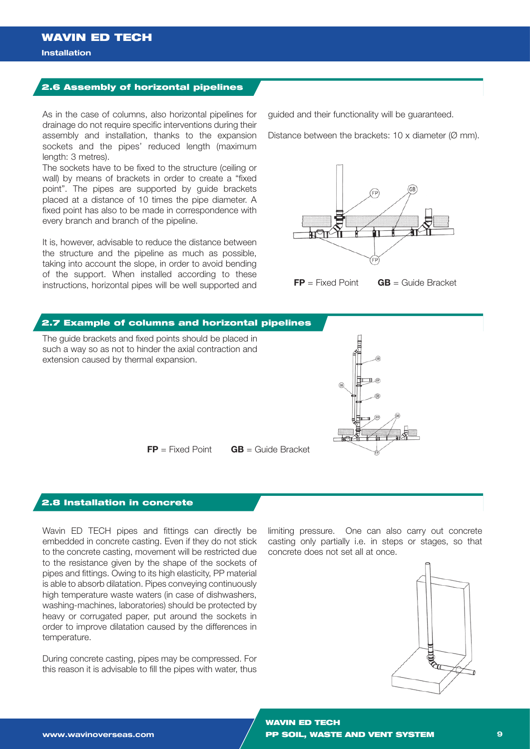### **Installation**

## 2.6 Assembly of horizontal pipelines

As in the case of columns, also horizontal pipelines for drainage do not require specific interventions during their assembly and installation, thanks to the expansion sockets and the pipes' reduced length (maximum length: 3 metres).

The sockets have to be fixed to the structure (ceiling or wall) by means of brackets in order to create a "fixed point". The pipes are supported by guide brackets placed at a distance of 10 times the pipe diameter. A fixed point has also to be made in correspondence with every branch and branch of the pipeline.

It is, however, advisable to reduce the distance between the structure and the pipeline as much as possible, taking into account the slope, in order to avoid bending of the support. When installed according to these instructions, horizontal pipes will be well supported and guided and their functionality will be guaranteed.

Distance between the brackets:  $10 \times$  diameter ( $\varnothing$  mm).



**FP** = Fixed Point **GB** = Guide Bracket



## 2.8 Installation in concrete

Wavin ED TECH pipes and fittings can directly be embedded in concrete casting. Even if they do not stick to the concrete casting, movement will be restricted due to the resistance given by the shape of the sockets of pipes and fittings. Owing to its high elasticity, PP material is able to absorb dilatation. Pipes conveying continuously high temperature waste waters (in case of dishwashers, washing-machines, laboratories) should be protected by heavy or corrugated paper, put around the sockets in order to improve dilatation caused by the differences in temperature.

During concrete casting, pipes may be compressed. For this reason it is advisable to fill the pipes with water, thus

limiting pressure. One can also carry out concrete casting only partially i.e. in steps or stages, so that concrete does not set all at once.

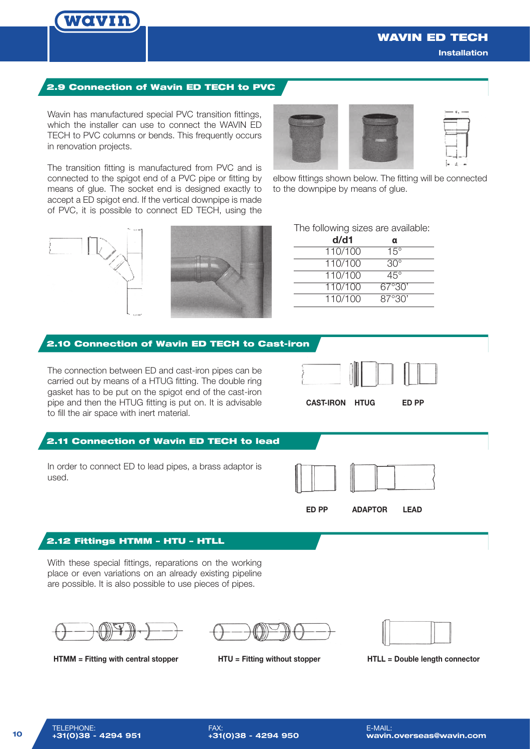

## WAVIN ED TECH

**Installation**

## 2.9 Connection of Wavin ED TECH to PVC

Wavin has manufactured special PVC transition fittings, which the installer can use to connect the WAVIN ED TECH to PVC columns or bends. This frequently occurs in renovation projects.

The transition fitting is manufactured from PVC and is connected to the spigot end of a PVC pipe or fitting by means of glue. The socket end is designed exactly to accept a ED spigot end. If the vertical downpipe is made of PVC, it is possible to connect ED TECH, using the



elbow fittings shown below. The fitting will be connected to the downpipe by means of glue.





|  |  | The following sizes are available: |
|--|--|------------------------------------|
|  |  |                                    |

| d/d1    | α            |
|---------|--------------|
| 110/100 | $15^\circ$   |
| 110/100 | $30^{\circ}$ |
| 110/100 | 45°          |
| 110/100 | 67°30'       |
| 110/100 | 87°30'       |

# The connection between ED and cast-iron pipes can be carried out by means of a HTUG fitting. The double ring gasket has to be put on the spigot end of the cast-iron pipe and then the HTUG fitting is put on. It is advisable to fill the air space with inert material. 2.10 Connection of Wavin ED TECH to Cast-iron 2.11 Connection of Wavin ED TECH to lead **CAST-IRON HTUG ED PP**

In order to connect ED to lead pipes, a brass adaptor is used.



**ED PP ADAPTOR LEAD**

## 2.12 Fittings HTMM – HTU – HTLL

With these special fittings, reparations on the working place or even variations on an already existing pipeline are possible. It is also possible to use pieces of pipes.



**HTMM = Fitting with central stopper HTU = Fitting without stopper HTLL = Double length connector**

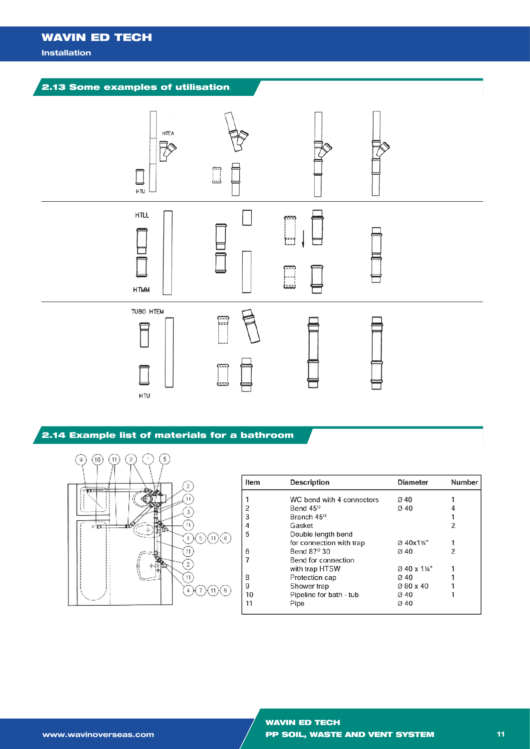# WAVIN ED TECH

### **Installation**



## 2.14 Example list of materials for a bathroom



| m | <b>Description</b>        | <b>Diameter</b>  | <b>Number</b> |
|---|---------------------------|------------------|---------------|
|   | WC bend with 4 connectors | Ø 40             |               |
|   | Bend 45 <sup>o</sup>      | $\varnothing$ 40 |               |
|   | Branch 45 <sup>o</sup>    |                  |               |
|   | Gasket                    |                  | 2             |
|   | Double length bend        |                  |               |
|   | for connection with trap  | Ø 40x1¼"         |               |
|   | Bend 87 <sup>o</sup> 30   | $\varnothing$ 40 | $\mathcal{P}$ |
|   | Bend for connection       |                  |               |
|   | with trap HTSW            | Ø 40 x 11/4"     |               |
|   | Protection cap            | Ø 40             |               |
|   | Shower trap               | Ø 80 x 40        |               |
|   | Pipeline for bath - tub   | Ø 40             |               |
|   | Pipe                      | Ø 40             |               |
|   |                           |                  |               |